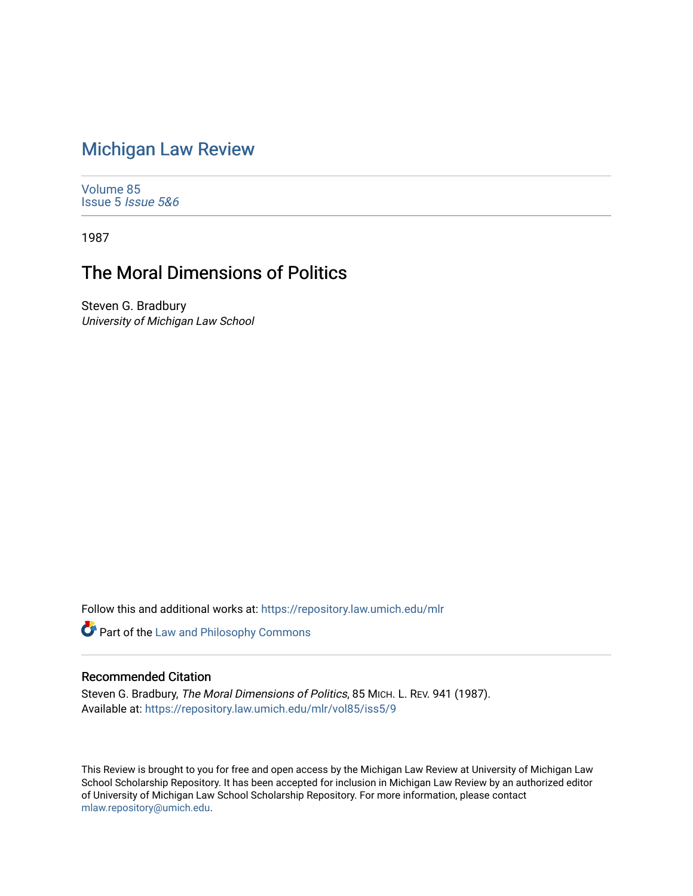## [Michigan Law Review](https://repository.law.umich.edu/mlr)

[Volume 85](https://repository.law.umich.edu/mlr/vol85) [Issue 5](https://repository.law.umich.edu/mlr/vol85/iss5) Issue 5&6

1987

## The Moral Dimensions of Politics

Steven G. Bradbury University of Michigan Law School

Follow this and additional works at: [https://repository.law.umich.edu/mlr](https://repository.law.umich.edu/mlr?utm_source=repository.law.umich.edu%2Fmlr%2Fvol85%2Fiss5%2F9&utm_medium=PDF&utm_campaign=PDFCoverPages) 

Part of the [Law and Philosophy Commons](http://network.bepress.com/hgg/discipline/1299?utm_source=repository.law.umich.edu%2Fmlr%2Fvol85%2Fiss5%2F9&utm_medium=PDF&utm_campaign=PDFCoverPages) 

## Recommended Citation

Steven G. Bradbury, The Moral Dimensions of Politics, 85 MICH. L. REV. 941 (1987). Available at: [https://repository.law.umich.edu/mlr/vol85/iss5/9](https://repository.law.umich.edu/mlr/vol85/iss5/9?utm_source=repository.law.umich.edu%2Fmlr%2Fvol85%2Fiss5%2F9&utm_medium=PDF&utm_campaign=PDFCoverPages)

This Review is brought to you for free and open access by the Michigan Law Review at University of Michigan Law School Scholarship Repository. It has been accepted for inclusion in Michigan Law Review by an authorized editor of University of Michigan Law School Scholarship Repository. For more information, please contact [mlaw.repository@umich.edu.](mailto:mlaw.repository@umich.edu)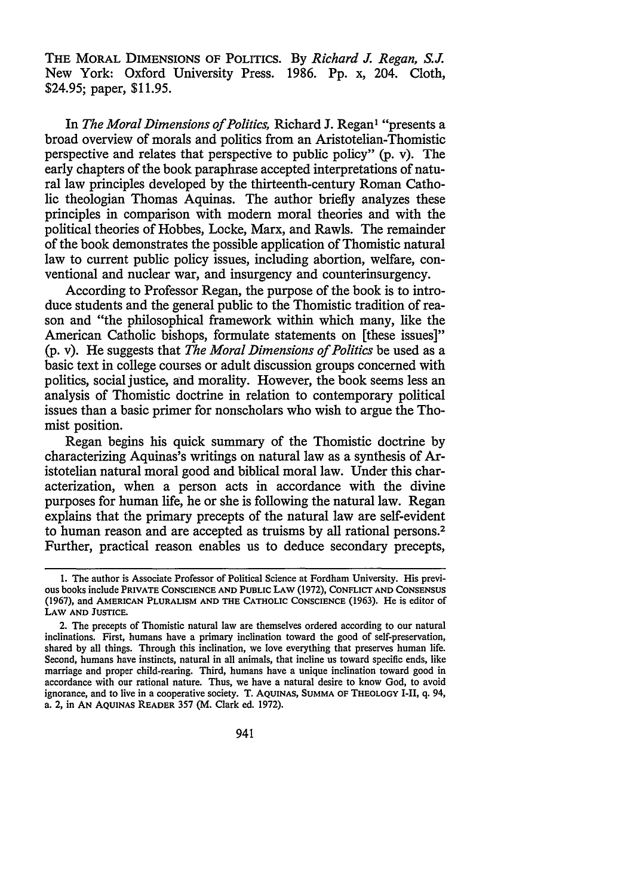THE MORAL DIMENSIONS OF POLITICS. By *Richard* J. *Regan,* S.J. New York: Oxford University Press. 1986. Pp. x, 204. Cloth, \$24.95; paper, \$11.95.

In *The Moral Dimensions of Politics*, Richard J. Regan<sup>1</sup> "presents a broad overview of morals and politics from an Aristotelian-Thomistic perspective and relates that perspective to public policy" (p. v). The early chapters of the book paraphrase accepted interpretations of natural law principles developed by the thirteenth-century Roman Catholic theologian Thomas Aquinas. The author briefly analyzes these principles in comparison with modern moral theories and with the political theories of Hobbes, Locke, Marx, and Rawls. The remainder of the book demonstrates the possible application of Thomistic natural law to current public policy issues, including abortion, welfare, conventional and nuclear war, and insurgency and counterinsurgency.

According to Professor Regan, the purpose of the book is to introduce students and the general public to the Thomistic tradition of reason and "the philosophical framework within which many, like the American Catholic bishops, formulate statements on [these issues]" (p. v). He suggests that *The Moral Dimensions of Politics* be used as a basic text in college courses or adult discussion groups concerned with politics, social justice, and morality. However, the book seems less an analysis of Thomistic doctrine in relation to contemporary political issues than a basic primer for nonscholars who wish to argue the Thomist position.

Regan begins his quick summary of the Thomistic doctrine by characterizing Aquinas's writings on natural law as a synthesis of Aristotelian natural moral good and biblical moral law. Under this characterization, when a person acts in accordance with the divine purposes for human life, he or she is following the natural law. Regan explains that the primary precepts of the natural law are self-evident to human reason and are accepted as truisms by all rational persons. 2 Further, practical reason enables us to deduce secondary precepts,

<sup>1.</sup> The author is Associate Professor of Political Science at Fordham University. His previous books include PRIVATE CONSCIENCE AND PUBLIC LAW (1972), CONFLICT AND CONSENSUS (1967), and AMERICAN PLURALISM AND THE CATHOLIC CONSCIENCE (1963). He is editor of LAW AND JUSTICE.

<sup>2.</sup> The precepts of Thomistic natural law are themselves ordered according to our natural inclinations. First, humans have a primary inclination toward the good of self-preservation, shared by all things. Through this inclination, we love everything that preserves human life. Second, humans have instincts, natural in all animals, that incline us toward specific ends, like marriage and proper child-rearing. Third, humans have a unique inclination toward good in accordance with our rational nature. Thus, we have a natural desire to know God, to avoid ignorance, and to live in a cooperative society. T. AQUINAS, SUMMA OF THEOLOGY I-II, q. 94, a. 2, in AN AQUINAS READER 357 (M. Clark ed. 1972).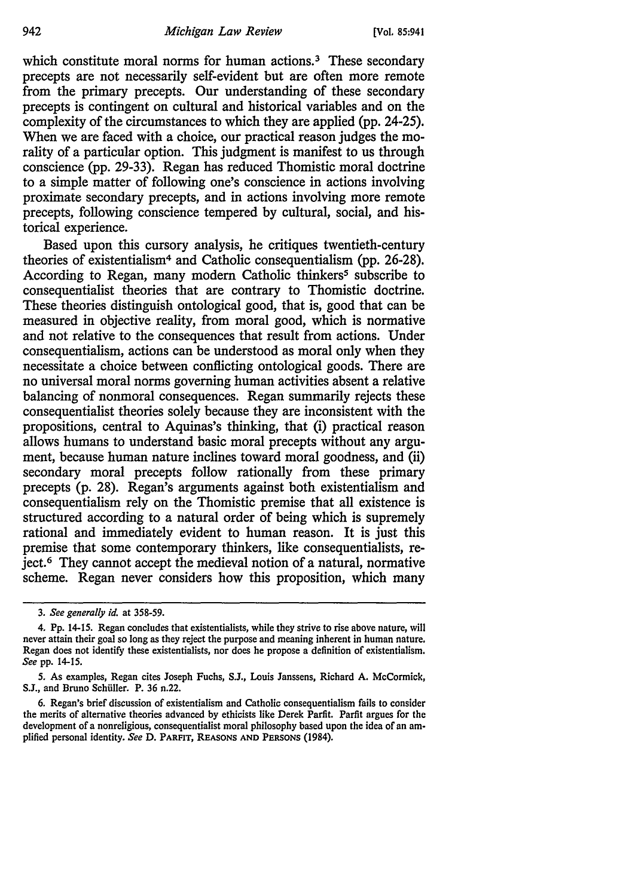which constitute moral norms for human actions.<sup>3</sup> These secondary precepts are not necessarily self-evident but are often more remote from the primary precepts. Our understanding of these secondary precepts is contingent on cultural and historical variables and on the complexity of the circumstances to which they are applied (pp. 24-25). When we are faced with a choice, our practical reason judges the morality of a particular option. This judgment is manifest to us through conscience (pp. 29-33). Regan has reduced Thomistic moral doctrine to a simple matter of following one's conscience in actions involving proximate secondary precepts, and in actions involving more remote precepts, following conscience tempered by cultural, social, and historical experience.

Based upon this cursory analysis, he critiques twentieth-century theories of existentialism4 and Catholic consequentialism (pp. 26-28). According to Regan, many modern Catholic thinkers<sup>5</sup> subscribe to consequentialist theories that are contrary to Thomistic doctrine. These theories distinguish ontological good, that is, good that can be measured in objective reality, from moral good, which is normative and not relative to the consequences that result from actions. Under consequentialism, actions can be understood as moral only when they necessitate a choice between conflicting ontological goods. There are no universal moral norms governing human activities absent a relative balancing of nonmoral consequences. Regan summarily rejects these consequentialist theories solely because they are inconsistent with the propositions, central to Aquinas's thinking, that (i) practical reason allows humans to understand basic moral precepts without any argument, because human nature inclines toward moral goodness, and (ii) secondary moral precepts follow rationally from these primary precepts (p. 28). Regan's arguments against both existentialism and consequentialism rely on the Thomistic premise that all existence is structured according to a natural order of being which is supremely rational and immediately evident to human reason. It is just this premise that some contemporary thinkers, like consequentialists, reject.<sup>6</sup> They cannot accept the medieval notion of a natural, normative scheme. Regan never considers how this proposition, which many

<sup>3.</sup> *See generally id.* at 358-59.

<sup>4.</sup> Pp. 14-15. Regan concludes that existentialists, while they strive to rise above nature, will never attain their goal so long as they reject the purpose and meaning inherent in human nature. Regan does not identify these existentialists, nor does he propose a definition of existentialism. *See* pp. 14-15.

<sup>5.</sup> As examples, Regan cites Joseph Fuchs, S.J., Louis Janssens, Richard A. McCormick, S.J., and Bruno Schuller. P. 36 n.22.

<sup>6.</sup> Regan's brief discussion of existentialism and Catholic consequentialism fails to consider the merits of alternative theories advanced by ethicists like Derek Parfit. Parfit argues for the development of a nonreligious, consequentialist moral philosophy based upon the idea of an amplified personal identity. *See* D. PARFIT, REASONS AND PERSONS (1984).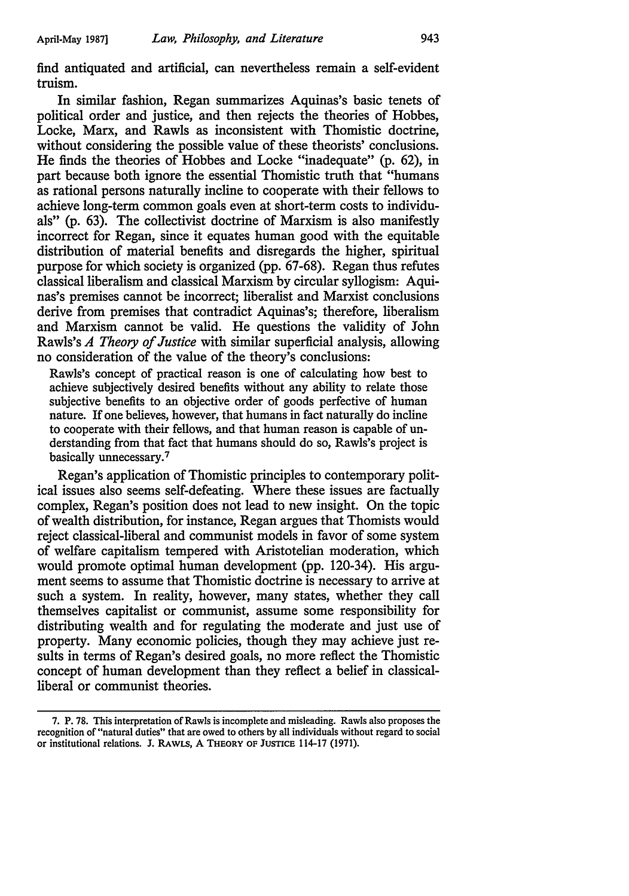find antiquated and artificial, can nevertheless remain a self-evident truism.

In similar fashion, Regan summarizes Aquinas's basic tenets of political order and justice, and then rejects the theories of Hobbes, Locke, Marx, and Rawls as inconsistent with Thomistic doctrine, without considering the possible value of these theorists' conclusions. He finds the theories of Hobbes and Locke "inadequate" (p. 62), in part because both ignore the essential Thomistic truth that "humans as rational persons naturally incline to cooperate with their fellows to achieve long-term common goals even at short-term costs to individuals" (p. 63). The collectivist doctrine of Marxism is also manifestly incorrect for Regan, since it equates human good with the equitable distribution of material benefits and disregards the higher, spiritual purpose for which society is organized (pp. 67-68). Regan thus refutes classical liberalism and classical Marxism by circular syllogism: Aquinas's premises cannot be incorrect; liberalist and Marxist conclusions derive from premises that contradict Aquinas's; therefore, liberalism and Marxism cannot be valid. He questions the validity of John Rawls's *A Theory of Justice* with similar superficial analysis, allowing no consideration of the value of the theory's conclusions:

Rawls's concept of practical reason is one of calculating how best to achieve subjectively desired benefits without any ability to relate those subjective benefits to an objective order of goods perfective of human nature. If one believes, however, that humans in fact naturally do incline to cooperate with their fellows, and that human reason is capable of understanding from that fact that humans should do so, Rawls's project is basically unnecessary. 7

Regan's application of Thomistic principles to contemporary political issues also seems self-defeating. Where these issues are factually complex, Regan's position does not lead to new insight. On the topic of wealth distribution, for instance, Regan argues that Thomists would reject classical-liberal and communist models in favor of some system of welfare capitalism tempered with Aristotelian moderation, which would promote optimal human development (pp. 120-34). His argument seems to assume that Thomistic doctrine is necessary to arrive at such a system. In reality, however, many states, whether they call themselves capitalist or communist, assume some responsibility for distributing wealth and for regulating the moderate and just use of property. Many economic policies, though they may achieve just results in terms of Regan's desired goals, no more reflect the Thomistic concept of human development than they reflect a belief in classicalliberal or communist theories.

<sup>7.</sup> P. 78. This interpretation of Rawls is incomplete and misleading. Rawls also proposes the recognition of "natural duties" that are owed to others by all individuals without regard to social or institutional relations. J. RAWLS, A THEORY OF JUSTICE 114-17 (1971).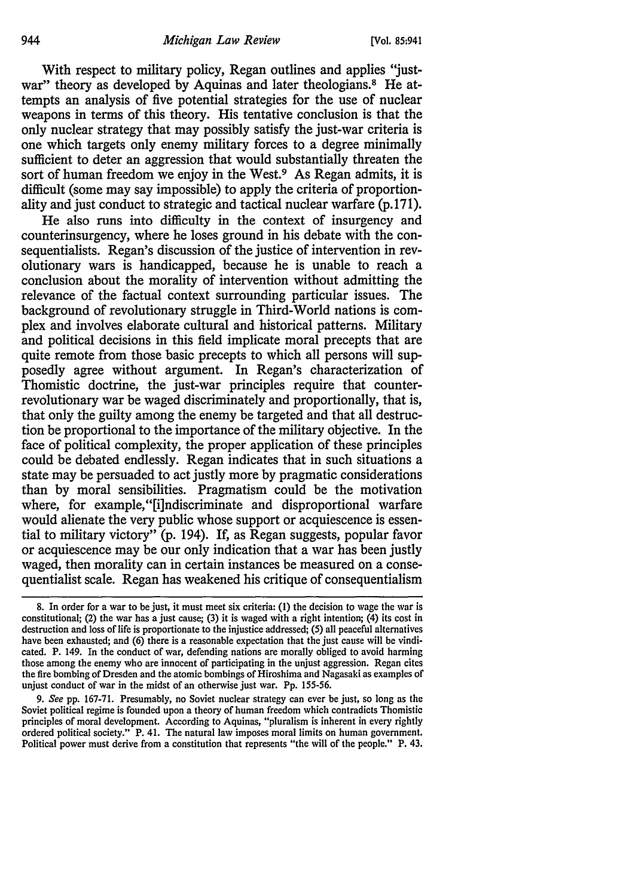With respect to military policy, Regan outlines and applies "justwar" theory as developed by Aquinas and later theologians.<sup>8</sup> He attempts an analysis of five potential strategies for the use of nuclear weapons in terms of this theory. His tentative conclusion is that the only nuclear strategy that may possibly satisfy the just-war criteria is one which targets only enemy military forces to a degree minimally sufficient to deter an aggression that would substantially threaten the sort of human freedom we enjoy in the West.<sup>9</sup> As Regan admits, it is difficult (some may say impossible) to apply the criteria of proportionality and just conduct to strategic and tactical nuclear warfare (p.171 ).

He also runs into difficulty in the context of insurgency and counterinsurgency, where he loses ground in his debate with the consequentialists. Regan's discussion of the justice of intervention in revolutionary wars is handicapped, because he is unable to reach a conclusion about the morality of intervention without admitting the relevance of the factual context surrounding particular issues. The background of revolutionary struggle in Third-World nations is complex and involves elaborate cultural and historical patterns. Military and political decisions in this field implicate moral precepts that are quite remote from those basic precepts to which all persons will supposedly agree without argument. In Regan's characterization of Thomistic doctrine, the just-war principles require that counterrevolutionary war be waged discriminately and proportionally, that is, that only the guilty among the enemy be targeted and that all destruction be proportional to the importance of the military objective. In the face of political complexity, the proper application of these principles could be debated endlessly. Regan indicates that in such situations a state may be persuaded to act justly more by pragmatic considerations than by moral sensibilities. Pragmatism could be the motivation where, for example, "[i]ndiscriminate and disproportional warfare would alienate the very public whose support or acquiescence is essential to military victory" (p. 194). If, as Regan suggests, popular favor or acquiescence may be our only indication that a war has been justly waged, then morality can in certain instances be measured on a consequentialist scale. Regan has weakened his critique of consequentialism

<sup>8.</sup> In order for a war to be just, it must meet six criteria: (1) the decision to wage the war is constitutional; (2) the war has a just cause; (3) it is waged with a right intention; (4) its cost in destruction and loss oflife is proportionate to the injustice addressed; (5) all peaceful alternatives have been exhausted; and (6) there is a reasonable expectation that the just cause will be vindicated. P. 149. In the conduct of war, defending nations are morally obliged to avoid harming those among the enemy who are innocent of participating in the unjust aggression. Regan cites the fire bombing of Dresden and the atomic bombings of Hiroshima and Nagasaki as examples of unjust conduct of war in the midst of an otherwise just war. Pp. 155-56.

<sup>9.</sup> *See* pp. 167-71. Presumably, no Soviet nuclear strategy can ever be just, so long as the Soviet political regime is founded upon a theory of human freedom which contradicts Thomistic principles of moral development. According to Aquinas, "pluralism is inherent in every rightly ordered political society." P. 41. The natural law imposes moral limits on human government. Political power must derive from a constitution that represents "the will of the people." P. 43.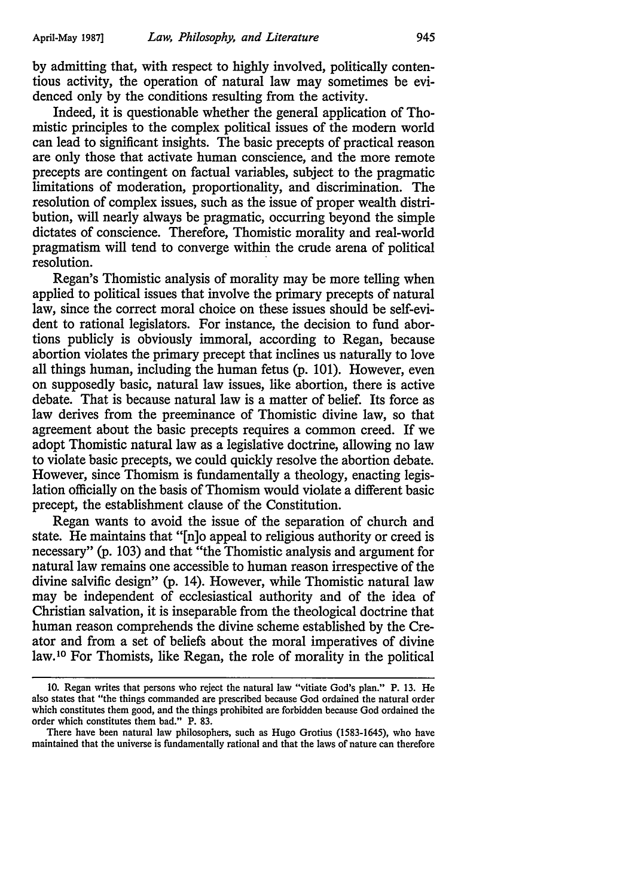by admitting that, with respect to highly involved, politically contentious activity, the operation of natural law may sometimes be evidenced only by the conditions resulting from the activity.

Indeed, it is questionable whether the general application of Thomistic principles to the complex political issues of the modem world can lead to significant insights. The basic precepts of practical reason are only those that activate human conscience, and the more remote precepts are contingent on factual variables, subject to the pragmatic limitations of moderation, proportionality, and discrimination. The resolution of complex issues, such as the issue of proper wealth distribution, will nearly always be pragmatic, occurring beyond the simple dictates of conscience. Therefore, Thomistic morality and real-world pragmatism will tend to converge within the crude arena of political resolution.

Regan's Thomistic analysis of morality may be more telling when applied to political issues that involve the primary precepts of natural law, since the correct moral choice on these issues should be self-evident to rational legislators. For instance, the decision to fund abortions publicly is obviously immoral, according to Regan, because abortion violates the primary precept that inclines us naturally to love all things human, including the human fetus (p. 101). However, even on supposedly basic, natural law issues, like abortion, there is active debate. That is because natural law is a matter of belief. Its force as law derives from the preeminance of Thomistic divine law, so that agreement about the basic precepts requires a common creed. If we adopt Thomistic natural law as a legislative doctrine, allowing no law to violate basic precepts, we could quickly resolve the abortion debate. However, since Thomism is fundamentally a theology, enacting legislation officially on the basis of Thomism would violate a different basic precept, the establishment clause of the Constitution.

Regan wants to avoid the issue of the separation of church and state. He maintains that "[n]o appeal to religious authority or creed is necessary" (p. 103) and that "the Thomistic analysis and argument for natural law remains one accessible to human reason irrespective of the divine salvific design" (p. 14). However, while Thomistic natural law may be independent of ecclesiastical authority and of the idea of Christian salvation, it is inseparable from the theological doctrine that human reason comprehends the divine scheme established by the Creator and from a set of beliefs about the moral imperatives of divine law. 10 For Thomists, like Regan, the role of morality in the political

<sup>10.</sup> Regan writes that persons who reject the natural law "vitiate God's plan." P. 13. He also states that "the things commanded are prescribed because God ordained the natural order which constitutes them good, and the things prohibited are forbidden because God ordained the order which constitutes them bad." P. 83.

There have been natural law philosophers, such as Hugo Grotius (1583-1645), who have maintained that the universe is fundamentally rational and that the laws of nature can therefore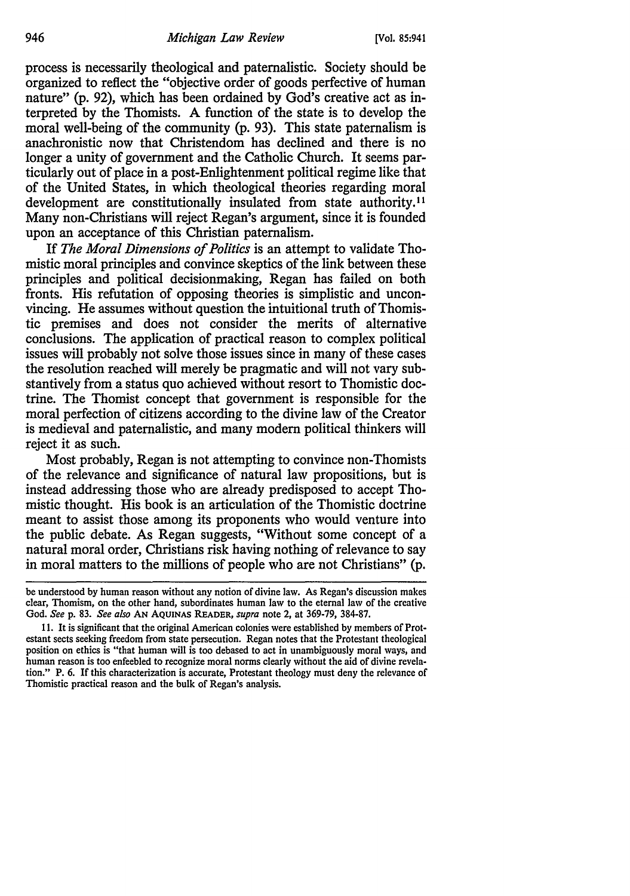process is necessarily theological and paternalistic. Society should be organized to reflect the "objective order of goods perfective of human nature" (p. 92), which has been ordained by God's creative act as interpreted by the Thomists. A function of the state is to develop the moral well-being of the community (p. 93). This state paternalism is anachronistic now that Christendom has declined and there is no longer a unity of government and the Catholic Church. It seems particularly out of place in a post-Enlightenment political regime like that of the United States, in which theological theories regarding moral development are constitutionally insulated from state authority.<sup>11</sup> Many non-Christians will reject Regan's argument, since it is founded upon an acceptance of this Christian paternalism.

If *The Moral Dimensions of Politics* is an attempt to validate Thomistic moral principles and convince skeptics of the link between these principles and political decisionmaking, Regan has failed on both fronts. His refutation of opposing theories is simplistic and unconvincing. He assumes without question the intuitional truth of Thomistic premises and does not consider the merits of alternative conclusions. The application of practical reason to complex political issues will probably not solve those issues since in many of these cases the resolution reached will merely be pragmatic and will not vary substantively from a status quo achieved without resort to Thomistic doctrine. The Thomist concept that government is responsible for the moral perfection of citizens according to the divine law of the Creator is medieval and paternalistic, and many modem political thinkers will reject it as such.

Most probably, Regan is not attempting to convince non-Thomists of the relevance and significance of natural law propositions, but is instead addressing those who are already predisposed to accept Thomistic thought. His book is an articulation of the Thomistic doctrine meant to assist those among its proponents who would venture into the public debate. As Regan suggests, "Without some concept of a natural moral order, Christians risk having nothing of relevance to say in moral matters to the millions of people who are not Christians" (p.

be understood by human reason without any notion of divine law. As Regan's discussion makes clear, Thomism, on the other hand, subordinates human law to the eternal law of the creative God. *Seep.* 83. *See also* AN AQUINAS READER, *supra* note 2, at 369-79, 384-87.

<sup>11.</sup> It is significant that the original American colonies were established by members of Protestant sects seeking freedom from state persecution. Regan notes that the Protestant theological position on ethics is "that human will is too debased to act in unambiguously moral ways, and human reason is too enfeebled to recognize moral norms clearly without the aid of divine revelation." P. 6. If this characterization is accurate, Protestant theology must deny the relevance of Thomistic practical reason and the bulk of Regan's analysis.